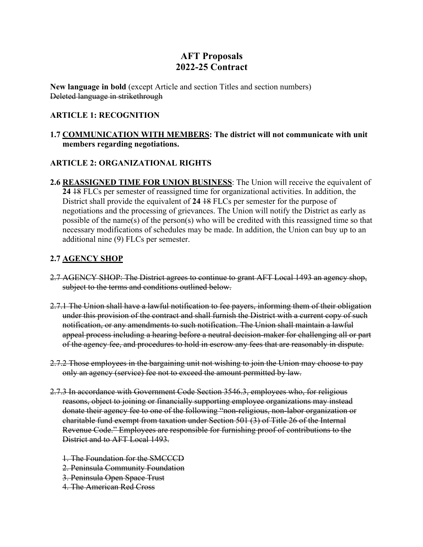# **AFT Proposals 2022-25 Contract**

**New language in bold** (except Article and section Titles and section numbers) Deleted language in strikethrough

### **ARTICLE 1: RECOGNITION**

### **1.7 COMMUNICATION WITH MEMBERS: The district will not communicate with unit members regarding negotiations.**

### **ARTICLE 2: ORGANIZATIONAL RIGHTS**

**2.6 REASSIGNED TIME FOR UNION BUSINESS**: The Union will receive the equivalent of **24** 18 FLCs per semester of reassigned time for organizational activities. In addition, the District shall provide the equivalent of **24** 18 FLCs per semester for the purpose of negotiations and the processing of grievances. The Union will notify the District as early as possible of the name(s) of the person(s) who will be credited with this reassigned time so that necessary modifications of schedules may be made. In addition, the Union can buy up to an additional nine (9) FLCs per semester.

# **2.7 AGENCY SHOP**

- 2.7 AGENCY SHOP: The District agrees to continue to grant AFT Local 1493 an agency shop, subject to the terms and conditions outlined below.
- 2.7.1 The Union shall have a lawful notification to fee payers, informing them of their obligation under this provision of the contract and shall furnish the District with a current copy of such notification, or any amendments to such notification. The Union shall maintain a lawful appeal process including a hearing before a neutral decision-maker for challenging all or part of the agency fee, and procedures to hold in escrow any fees that are reasonably in dispute.
- 2.7.2 Those employees in the bargaining unit not wishing to join the Union may choose to pay only an agency (service) fee not to exceed the amount permitted by law.
- 2.7.3 In accordance with Government Code Section 3546.3, employees who, for religious reasons, object to joining or financially supporting employee organizations may instead donate their agency fee to one of the following "non-religious, non-labor organization or charitable fund exempt from taxation under Section 501 (3) of Title 26 of the Internal Revenue Code." Employees are responsible for furnishing proof of contributions to the District and to AFT Local 1493.
	- 1. The Foundation for the SMCCCD
	- 2. Peninsula Community Foundation
	- 3. Peninsula Open Space Trust
	- 4. The American Red Cross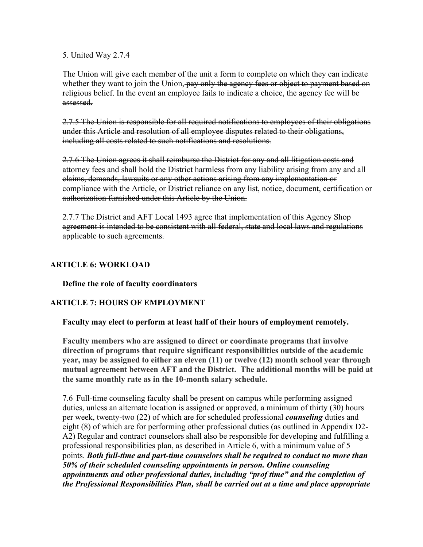5. United Way 2.7.4

The Union will give each member of the unit a form to complete on which they can indicate whether they want to join the Union, pay only the agency fees or object to payment based on religious belief. In the event an employee fails to indicate a choice, the agency fee will be assessed.

2.7.5 The Union is responsible for all required notifications to employees of their obligations under this Article and resolution of all employee disputes related to their obligations, including all costs related to such notifications and resolutions.

2.7.6 The Union agrees it shall reimburse the District for any and all litigation costs and attorney fees and shall hold the District harmless from any liability arising from any and all claims, demands, lawsuits or any other actions arising from any implementation or compliance with the Article, or District reliance on any list, notice, document, certification or authorization furnished under this Article by the Union.

2.7.7 The District and AFT Local 1493 agree that implementation of this Agency Shop agreement is intended to be consistent with all federal, state and local laws and regulations applicable to such agreements.

### **ARTICLE 6: WORKLOAD**

**Define the role of faculty coordinators**

# **ARTICLE 7: HOURS OF EMPLOYMENT**

### **Faculty may elect to perform at least half of their hours of employment remotely.**

**Faculty members who are assigned to direct or coordinate programs that involve direction of programs that require significant responsibilities outside of the academic year, may be assigned to either an eleven (11) or twelve (12) month school year through mutual agreement between AFT and the District. The additional months will be paid at the same monthly rate as in the 10-month salary schedule.**

7.6 Full-time counseling faculty shall be present on campus while performing assigned duties, unless an alternate location is assigned or approved, a minimum of thirty (30) hours per week, twenty-two (22) of which are for scheduled professional *counseling* duties and eight (8) of which are for performing other professional duties (as outlined in Appendix D2- A2) Regular and contract counselors shall also be responsible for developing and fulfilling a professional responsibilities plan, as described in Article 6, with a minimum value of 5 points. *Both full-time and part-time counselors shall be required to conduct no more than 50% of their scheduled counseling appointments in person. Online counseling appointments and other professional duties, including "prof time" and the completion of the Professional Responsibilities Plan, shall be carried out at a time and place appropriate*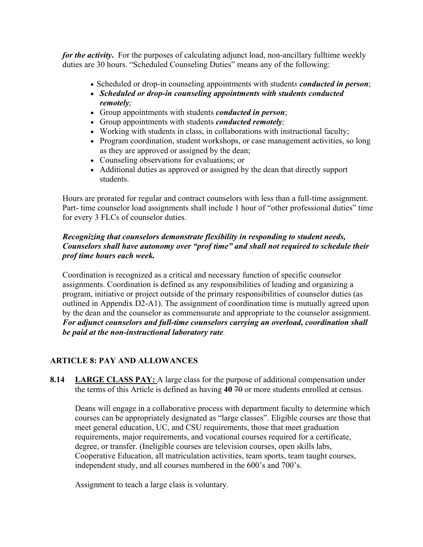*for the activity***.**For the purposes of calculating adjunct load, non-ancillary fulltime weekly duties are 30 hours. "Scheduled Counseling Duties" means any of the following:

- Scheduled or drop-in counseling appointments with student*s conducted in person*;
- *Scheduled or drop-in counseling appointments with students conducted remotely;*
- Group appointments with students *conducted in person*;
- Group appointments with students *conducted remotely;*
- Working with students in class, in collaborations with instructional faculty;
- Program coordination, student workshops, or case management activities, so long as they are approved or assigned by the dean;
- Counseling observations for evaluations; or
- Additional duties as approved or assigned by the dean that directly support students.

Hours are prorated for regular and contract counselors with less than a full-time assignment. Part- time counselor load assignments shall include 1 hour of "other professional duties" time for every 3 FLCs of counselor duties.

# *Recognizing that counselors demonstrate flexibility in responding to student needs, Counselors shall have autonomy over "prof time" and shall not required to schedule their prof time hours each week.*

Coordination is recognized as a critical and necessary function of specific counselor assignments. Coordination is defined as any responsibilities of leading and organizing a program, initiative or project outside of the primary responsibilities of counselor duties (as outlined in Appendix D2-A1). The assignment of coordination time is mutually agreed upon by the dean and the counselor as commensurate and appropriate to the counselor assignment. *For adjunct counselors and full-time counselors carrying an overload, coordination shall be paid at the non-instructional laboratory rate.*

# **ARTICLE 8: PAY AND ALLOWANCES**

**8.14 LARGE CLASS PAY:** A large class for the purpose of additional compensation under the terms of this Article is defined as having 40 70 or more students enrolled at census.

Deans will engage in a collaborative process with department faculty to determine which courses can be appropriately designated as "large classes". Eligible courses are those that meet general education, UC, and CSU requirements, those that meet graduation requirements, major requirements, and vocational courses required for a certificate, degree, or transfer. (Ineligible courses are television courses, open skills labs, Cooperative Education, all matriculation activities, team sports, team taught courses, independent study, and all courses numbered in the 600's and 700's.

Assignment to teach a large class is voluntary.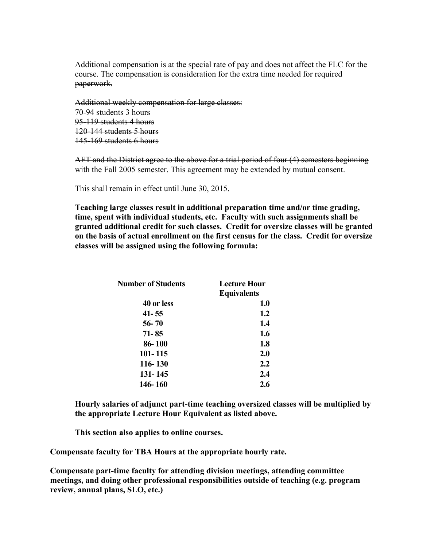Additional compensation is at the special rate of pay and does not affect the FLC for the course. The compensation is consideration for the extra time needed for required paperwork.

Additional weekly compensation for large classes: 70-94 students 3 hours 95-119 students 4 hours 120-144 students 5 hours 145-169 students 6 hours

AFT and the District agree to the above for a trial period of four (4) semesters beginning with the Fall 2005 semester. This agreement may be extended by mutual consent.

This shall remain in effect until June 30, 2015.

**Teaching large classes result in additional preparation time and/or time grading, time, spent with individual students, etc. Faculty with such assignments shall be granted additional credit for such classes. Credit for oversize classes will be granted on the basis of actual enrollment on the first census for the class. Credit for oversize classes will be assigned using the following formula:**

| <b>Number of Students</b> | <b>Lecture Hour</b> |
|---------------------------|---------------------|
|                           | <b>Equivalents</b>  |
| 40 or less                | 1.0                 |
| $41 - 55$                 | 1.2                 |
| $56 - 70$                 | 1.4                 |
| 71-85                     | 1.6                 |
| 86-100                    | 1.8                 |
| 101-115                   | 2.0                 |
| 116-130                   | 2.2                 |
| 131-145                   | 2.4                 |
| 146-160                   | 2.6                 |

**Hourly salaries of adjunct part-time teaching oversized classes will be multiplied by the appropriate Lecture Hour Equivalent as listed above.**

**This section also applies to online courses.**

**Compensate faculty for TBA Hours at the appropriate hourly rate.**

**Compensate part-time faculty for attending division meetings, attending committee meetings, and doing other professional responsibilities outside of teaching (e.g. program review, annual plans, SLO, etc.)**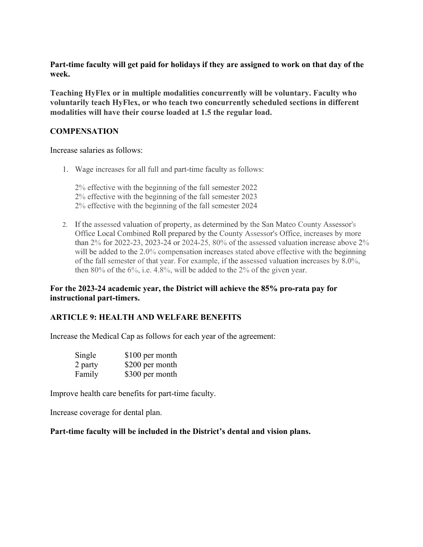### **Part-time faculty will get paid for holidays if they are assigned to work on that day of the week.**

**Teaching HyFlex or in multiple modalities concurrently will be voluntary. Faculty who voluntarily teach HyFlex, or who teach two concurrently scheduled sections in different modalities will have their course loaded at 1.5 the regular load.**

# **COMPENSATION**

#### Increase salaries as follows:

1. Wage increases for all full and part-time faculty as follows:

2% effective with the beginning of the fall semester 2022 2% effective with the beginning of the fall semester 2023 2% effective with the beginning of the fall semester 2024

2. If the assessed valuation of property, as determined by the San Mateo County Assessor's Office Local Combined Roll prepared by the County Assessor's Office, increases by more than  $2\%$  for  $2022-23$ ,  $2023-24$  or  $2024-25$ ,  $80\%$  of the assessed valuation increase above  $2\%$ will be added to the 2.0% compensation increases stated above effective with the beginning of the fall semester of that year. For example, if the assessed valuation increases by 8.0%, then 80% of the 6%, i.e. 4.8%, will be added to the 2% of the given year.

### **For the 2023-24 academic year, the District will achieve the 85% pro-rata pay for instructional part-timers.**

# **ARTICLE 9: HEALTH AND WELFARE BENEFITS**

Increase the Medical Cap as follows for each year of the agreement:

| Single  | \$100 per month |
|---------|-----------------|
| 2 party | \$200 per month |
| Family  | \$300 per month |

Improve health care benefits for part-time faculty.

Increase coverage for dental plan.

**Part-time faculty will be included in the District's dental and vision plans.**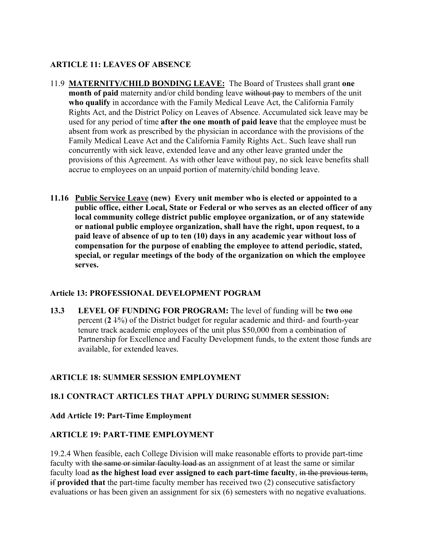# **ARTICLE 11: LEAVES OF ABSENCE**

- 11.9 **MATERNITY/CHILD BONDING LEAVE:** The Board of Trustees shall grant **one month of paid** maternity and/or child bonding leave without pay to members of the unit **who qualify** in accordance with the Family Medical Leave Act, the California Family Rights Act, and the District Policy on Leaves of Absence. Accumulated sick leave may be used for any period of time **after the one month of paid leave** that the employee must be absent from work as prescribed by the physician in accordance with the provisions of the Family Medical Leave Act and the California Family Rights Act.. Such leave shall run concurrently with sick leave, extended leave and any other leave granted under the provisions of this Agreement. As with other leave without pay, no sick leave benefits shall accrue to employees on an unpaid portion of maternity/child bonding leave.
- **11.16 Public Service Leave (new) Every unit member who is elected or appointed to a public office, either Local, State or Federal or who serves as an elected officer of any local community college district public employee organization, or of any statewide or national public employee organization, shall have the right, upon request, to a paid leave of absence of up to ten (10) days in any academic year without loss of compensation for the purpose of enabling the employee to attend periodic, stated, special, or regular meetings of the body of the organization on which the employee serves.**

# **Article 13: PROFESSIONAL DEVELOPMENT POGRAM**

**13.3 LEVEL OF FUNDING FOR PROGRAM:** The level of funding will be **two** one percent (**2** 1%) of the District budget for regular academic and third- and fourth-year tenure track academic employees of the unit plus \$50,000 from a combination of Partnership for Excellence and Faculty Development funds, to the extent those funds are available, for extended leaves.

# **ARTICLE 18: SUMMER SESSION EMPLOYMENT**

# **18.1 CONTRACT ARTICLES THAT APPLY DURING SUMMER SESSION:**

# **Add Article 19: Part-Time Employment**

# **ARTICLE 19: PART-TIME EMPLOYMENT**

19.2.4 When feasible, each College Division will make reasonable efforts to provide part-time faculty with the same or similar faculty load as an assignment of at least the same or similar faculty load **as the highest load ever assigned to each part-time faculty**, in the previous term, if **provided that** the part-time faculty member has received two (2) consecutive satisfactory evaluations or has been given an assignment for six (6) semesters with no negative evaluations.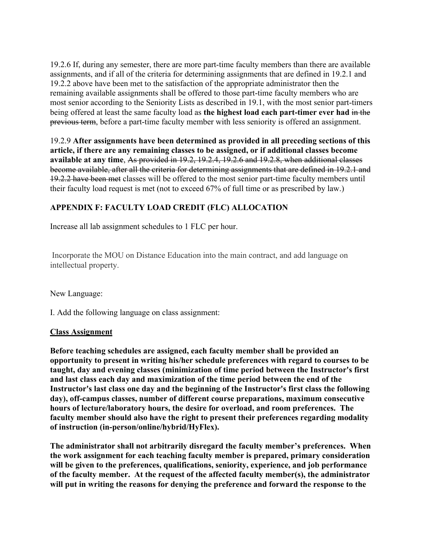19.2.6 If, during any semester, there are more part-time faculty members than there are available assignments, and if all of the criteria for determining assignments that are defined in 19.2.1 and 19.2.2 above have been met to the satisfaction of the appropriate administrator then the remaining available assignments shall be offered to those part-time faculty members who are most senior according to the Seniority Lists as described in 19.1, with the most senior part-timers being offered at least the same faculty load as **the highest load each part-timer ever had** in the previous term, before a part-time faculty member with less seniority is offered an assignment.

19.2.9 **After assignments have been determined as provided in all preceding sections of this article, if there are any remaining classes to be assigned, or if additional classes become available at any time**, As provided in 19.2, 19.2.4, 19.2.6 and 19.2.8, when additional classes become available, after all the criteria for determining assignments that are defined in 19.2.1 and 19.2.2 have been met classes will be offered to the most senior part-time faculty members until their faculty load request is met (not to exceed 67% of full time or as prescribed by law.)

# **APPENDIX F: FACULTY LOAD CREDIT (FLC) ALLOCATION**

Increase all lab assignment schedules to 1 FLC per hour.

Incorporate the MOU on Distance Education into the main contract, and add language on intellectual property.

New Language:

I. Add the following language on class assignment:

# **Class Assignment**

**Before teaching schedules are assigned, each faculty member shall be provided an opportunity to present in writing his/her schedule preferences with regard to courses to be taught, day and evening classes (minimization of time period between the Instructor's first and last class each day and maximization of the time period between the end of the Instructor's last class one day and the beginning of the Instructor's first class the following day), off-campus classes, number of different course preparations, maximum consecutive hours of lecture/laboratory hours, the desire for overload, and room preferences. The faculty member should also have the right to present their preferences regarding modality of instruction (in-person/online/hybrid/HyFlex).**

**The administrator shall not arbitrarily disregard the faculty member's preferences. When the work assignment for each teaching faculty member is prepared, primary consideration will be given to the preferences, qualifications, seniority, experience, and job performance of the faculty member. At the request of the affected faculty member(s), the administrator will put in writing the reasons for denying the preference and forward the response to the**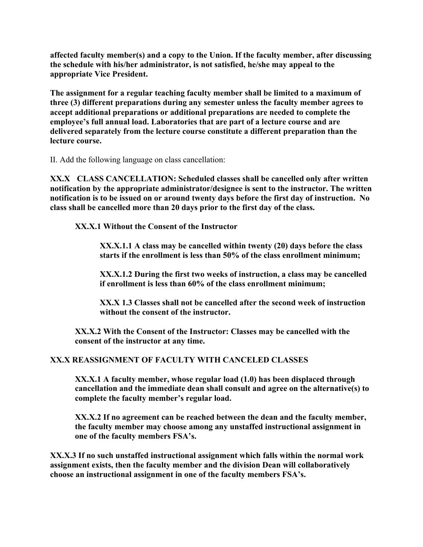**affected faculty member(s) and a copy to the Union. If the faculty member, after discussing the schedule with his/her administrator, is not satisfied, he/she may appeal to the appropriate Vice President.**

**The assignment for a regular teaching faculty member shall be limited to a maximum of three (3) different preparations during any semester unless the faculty member agrees to accept additional preparations or additional preparations are needed to complete the employee's full annual load. Laboratories that are part of a lecture course and are delivered separately from the lecture course constitute a different preparation than the lecture course.**

II. Add the following language on class cancellation:

**XX.X CLASS CANCELLATION: Scheduled classes shall be cancelled only after written notification by the appropriate administrator/designee is sent to the instructor. The written notification is to be issued on or around twenty days before the first day of instruction. No class shall be cancelled more than 20 days prior to the first day of the class.**

**XX.X.1 Without the Consent of the Instructor** 

**XX.X.1.1 A class may be cancelled within twenty (20) days before the class starts if the enrollment is less than 50% of the class enrollment minimum;** 

**XX.X.1.2 During the first two weeks of instruction, a class may be cancelled if enrollment is less than 60% of the class enrollment minimum;** 

**XX.X 1.3 Classes shall not be cancelled after the second week of instruction without the consent of the instructor.** 

**XX.X.2 With the Consent of the Instructor: Classes may be cancelled with the consent of the instructor at any time.** 

# **XX.X REASSIGNMENT OF FACULTY WITH CANCELED CLASSES**

**XX.X.1 A faculty member, whose regular load (1.0) has been displaced through cancellation and the immediate dean shall consult and agree on the alternative(s) to complete the faculty member's regular load.** 

**XX.X.2 If no agreement can be reached between the dean and the faculty member, the faculty member may choose among any unstaffed instructional assignment in one of the faculty members FSA's.** 

**XX.X.3 If no such unstaffed instructional assignment which falls within the normal work assignment exists, then the faculty member and the division Dean will collaboratively choose an instructional assignment in one of the faculty members FSA's.**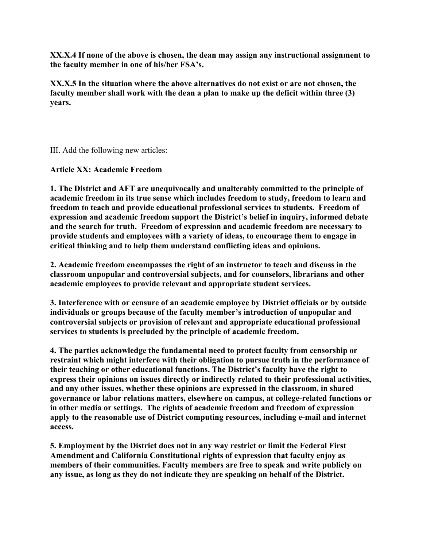**XX.X.4 If none of the above is chosen, the dean may assign any instructional assignment to the faculty member in one of his/her FSA's.** 

**XX.X.5 In the situation where the above alternatives do not exist or are not chosen, the faculty member shall work with the dean a plan to make up the deficit within three (3) years.**

III. Add the following new articles:

**Article XX: Academic Freedom**

**1. The District and AFT are unequivocally and unalterably committed to the principle of academic freedom in its true sense which includes freedom to study, freedom to learn and freedom to teach and provide educational professional services to students. Freedom of expression and academic freedom support the District's belief in inquiry, informed debate and the search for truth. Freedom of expression and academic freedom are necessary to provide students and employees with a variety of ideas, to encourage them to engage in critical thinking and to help them understand conflicting ideas and opinions.**

**2. Academic freedom encompasses the right of an instructor to teach and discuss in the classroom unpopular and controversial subjects, and for counselors, librarians and other academic employees to provide relevant and appropriate student services.**

**3. Interference with or censure of an academic employee by District officials or by outside individuals or groups because of the faculty member's introduction of unpopular and controversial subjects or provision of relevant and appropriate educational professional services to students is precluded by the principle of academic freedom.**

**4. The parties acknowledge the fundamental need to protect faculty from censorship or restraint which might interfere with their obligation to pursue truth in the performance of their teaching or other educational functions. The District's faculty have the right to express their opinions on issues directly or indirectly related to their professional activities, and any other issues, whether these opinions are expressed in the classroom, in shared governance or labor relations matters, elsewhere on campus, at college-related functions or in other media or settings. The rights of academic freedom and freedom of expression apply to the reasonable use of District computing resources, including e-mail and internet access.**

**5. Employment by the District does not in any way restrict or limit the Federal First Amendment and California Constitutional rights of expression that faculty enjoy as members of their communities. Faculty members are free to speak and write publicly on any issue, as long as they do not indicate they are speaking on behalf of the District.**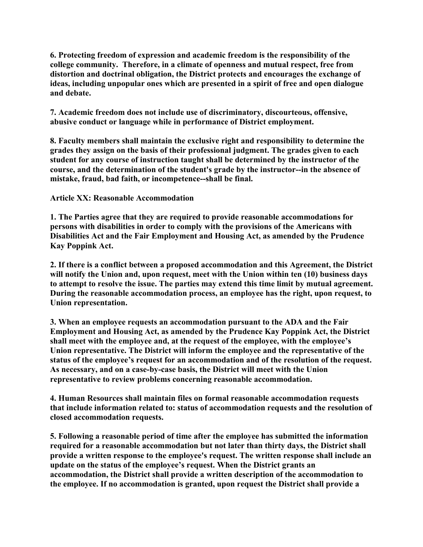**6. Protecting freedom of expression and academic freedom is the responsibility of the college community. Therefore, in a climate of openness and mutual respect, free from distortion and doctrinal obligation, the District protects and encourages the exchange of ideas, including unpopular ones which are presented in a spirit of free and open dialogue and debate.**

**7. Academic freedom does not include use of discriminatory, discourteous, offensive, abusive conduct or language while in performance of District employment.**

**8. Faculty members shall maintain the exclusive right and responsibility to determine the grades they assign on the basis of their professional judgment. The grades given to each student for any course of instruction taught shall be determined by the instructor of the course, and the determination of the student's grade by the instructor--in the absence of mistake, fraud, bad faith, or incompetence--shall be final.**

**Article XX: Reasonable Accommodation**

**1. The Parties agree that they are required to provide reasonable accommodations for persons with disabilities in order to comply with the provisions of the Americans with Disabilities Act and the Fair Employment and Housing Act, as amended by the Prudence Kay Poppink Act.**

**2. If there is a conflict between a proposed accommodation and this Agreement, the District will notify the Union and, upon request, meet with the Union within ten (10) business days to attempt to resolve the issue. The parties may extend this time limit by mutual agreement. During the reasonable accommodation process, an employee has the right, upon request, to Union representation.**

**3. When an employee requests an accommodation pursuant to the ADA and the Fair Employment and Housing Act, as amended by the Prudence Kay Poppink Act, the District shall meet with the employee and, at the request of the employee, with the employee's Union representative. The District will inform the employee and the representative of the status of the employee's request for an accommodation and of the resolution of the request. As necessary, and on a case-by-case basis, the District will meet with the Union representative to review problems concerning reasonable accommodation.**

**4. Human Resources shall maintain files on formal reasonable accommodation requests that include information related to: status of accommodation requests and the resolution of closed accommodation requests.**

**5. Following a reasonable period of time after the employee has submitted the information required for a reasonable accommodation but not later than thirty days, the District shall provide a written response to the employee's request. The written response shall include an update on the status of the employee's request. When the District grants an accommodation, the District shall provide a written description of the accommodation to the employee. If no accommodation is granted, upon request the District shall provide a**